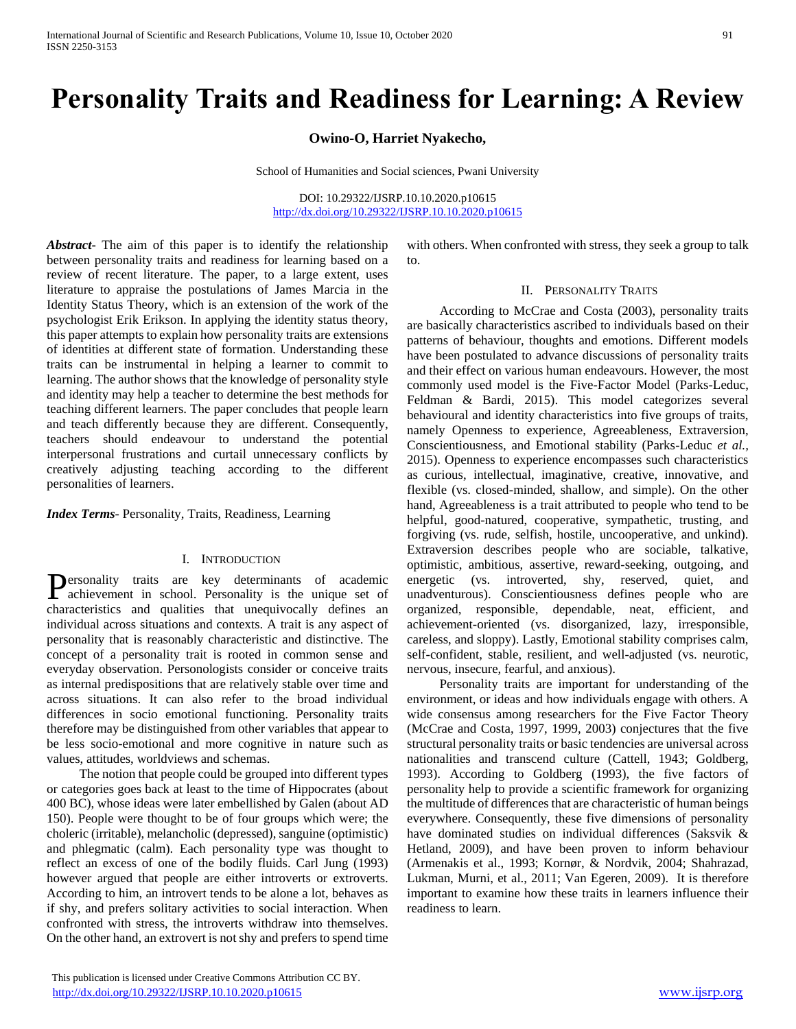# **Personality Traits and Readiness for Learning: A Review**

## **Owino-O, Harriet Nyakecho,**

School of Humanities and Social sciences, Pwani University

DOI: 10.29322/IJSRP.10.10.2020.p10615 <http://dx.doi.org/10.29322/IJSRP.10.10.2020.p10615>

*Abstract***-** The aim of this paper is to identify the relationship between personality traits and readiness for learning based on a review of recent literature. The paper, to a large extent, uses literature to appraise the postulations of James Marcia in the Identity Status Theory, which is an extension of the work of the psychologist Erik Erikson. In applying the identity status theory, this paper attempts to explain how personality traits are extensions of identities at different state of formation. Understanding these traits can be instrumental in helping a learner to commit to learning. The author shows that the knowledge of personality style and identity may help a teacher to determine the best methods for teaching different learners. The paper concludes that people learn and teach differently because they are different. Consequently, teachers should endeavour to understand the potential interpersonal frustrations and curtail unnecessary conflicts by creatively adjusting teaching according to the different personalities of learners.

*Index Terms*- Personality, Traits, Readiness, Learning

#### I. INTRODUCTION

ersonality traits are key determinants of academic Personality traits are key determinants of academic<br>achievement in school. Personality is the unique set of characteristics and qualities that unequivocally defines an individual across situations and contexts. A trait is any aspect of personality that is reasonably characteristic and distinctive. The concept of a personality trait is rooted in common sense and everyday observation. Personologists consider or conceive traits as internal predispositions that are relatively stable over time and across situations. It can also refer to the broad individual differences in socio emotional functioning. Personality traits therefore may be distinguished from other variables that appear to be less socio-emotional and more cognitive in nature such as values, attitudes, worldviews and schemas.

 The notion that people could be grouped into different types or categories goes back at least to the time of Hippocrates (about 400 BC), whose ideas were later embellished by Galen (about AD 150). People were thought to be of four groups which were; the choleric (irritable), melancholic (depressed), sanguine (optimistic) and phlegmatic (calm). Each personality type was thought to reflect an excess of one of the bodily fluids. Carl Jung (1993) however argued that people are either introverts or extroverts. According to him, an introvert tends to be alone a lot, behaves as if shy, and prefers solitary activities to social interaction. When confronted with stress, the introverts withdraw into themselves. On the other hand, an extrovert is not shy and prefers to spend time with others. When confronted with stress, they seek a group to talk to.

#### II. PERSONALITY TRAITS

 According to McCrae and Costa (2003), personality traits are basically characteristics ascribed to individuals based on their patterns of behaviour, thoughts and emotions. Different models have been postulated to advance discussions of personality traits and their effect on various human endeavours. However, the most commonly used model is the Five-Factor Model (Parks-Leduc, Feldman & Bardi, 2015). This model categorizes several behavioural and identity characteristics into five groups of traits, namely Openness to experience, Agreeableness, Extraversion, Conscientiousness, and Emotional stability (Parks-Leduc *et al.,* 2015). Openness to experience encompasses such characteristics as curious, intellectual, imaginative, creative, innovative, and flexible (vs. closed-minded, shallow, and simple). On the other hand, Agreeableness is a trait attributed to people who tend to be helpful, good-natured, cooperative, sympathetic, trusting, and forgiving (vs. rude, selfish, hostile, uncooperative, and unkind). Extraversion describes people who are sociable, talkative, optimistic, ambitious, assertive, reward-seeking, outgoing, and energetic (vs. introverted, shy, reserved, quiet, and unadventurous). Conscientiousness defines people who are organized, responsible, dependable, neat, efficient, and achievement-oriented (vs. disorganized, lazy, irresponsible, careless, and sloppy). Lastly, Emotional stability comprises calm, self-confident, stable, resilient, and well-adjusted (vs. neurotic, nervous, insecure, fearful, and anxious).

 Personality traits are important for understanding of the environment, or ideas and how individuals engage with others. A wide consensus among researchers for the Five Factor Theory (McCrae and Costa, 1997, 1999, 2003) conjectures that the five structural personality traits or basic tendencies are universal across nationalities and transcend culture (Cattell, 1943; Goldberg, 1993). According to Goldberg (1993), the five factors of personality help to provide a scientific framework for organizing the multitude of differences that are characteristic of human beings everywhere. Consequently, these five dimensions of personality have dominated studies on individual differences (Saksvik & Hetland, 2009), and have been proven to inform behaviour (Armenakis et al., 1993; Kornør, & Nordvik, 2004; Shahrazad, Lukman, Murni, et al., 2011; Van Egeren, 2009). It is therefore important to examine how these traits in learners influence their readiness to learn.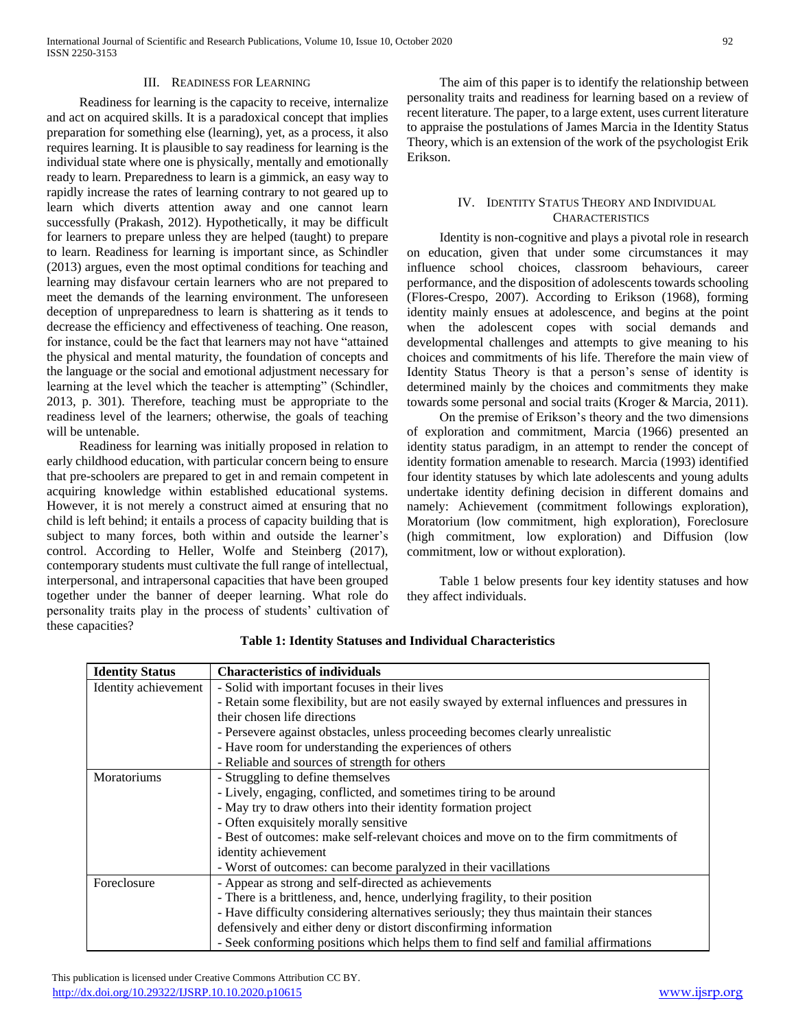#### III. READINESS FOR LEARNING

 Readiness for learning is the capacity to receive, internalize and act on acquired skills. It is a paradoxical concept that implies preparation for something else (learning), yet, as a process, it also requires learning. It is plausible to say readiness for learning is the individual state where one is physically, mentally and emotionally ready to learn. Preparedness to learn is a gimmick, an easy way to rapidly increase the rates of learning contrary to not geared up to learn which diverts attention away and one cannot learn successfully (Prakash, 2012). Hypothetically, it may be difficult for learners to prepare unless they are helped (taught) to prepare to learn. Readiness for learning is important since, as Schindler (2013) argues, even the most optimal conditions for teaching and learning may disfavour certain learners who are not prepared to meet the demands of the learning environment. The unforeseen deception of unpreparedness to learn is shattering as it tends to decrease the efficiency and effectiveness of teaching. One reason, for instance, could be the fact that learners may not have "attained the physical and mental maturity, the foundation of concepts and the language or the social and emotional adjustment necessary for learning at the level which the teacher is attempting" (Schindler, 2013, p. 301). Therefore, teaching must be appropriate to the readiness level of the learners; otherwise, the goals of teaching will be untenable.

 Readiness for learning was initially proposed in relation to early childhood education, with particular concern being to ensure that pre-schoolers are prepared to get in and remain competent in acquiring knowledge within established educational systems. However, it is not merely a construct aimed at ensuring that no child is left behind; it entails a process of capacity building that is subject to many forces, both within and outside the learner's control. According to Heller, Wolfe and Steinberg (2017), contemporary students must cultivate the full range of intellectual, interpersonal, and intrapersonal capacities that have been grouped together under the banner of deeper learning. What role do personality traits play in the process of students' cultivation of these capacities?

 The aim of this paper is to identify the relationship between personality traits and readiness for learning based on a review of recent literature. The paper, to a large extent, uses current literature to appraise the postulations of James Marcia in the Identity Status Theory, which is an extension of the work of the psychologist Erik Erikson.

## IV. IDENTITY STATUS THEORY AND INDIVIDUAL **CHARACTERISTICS**

 Identity is non-cognitive and plays a pivotal role in research on education, given that under some circumstances it may influence school choices, classroom behaviours, career performance, and the disposition of adolescents towards schooling (Flores-Crespo, 2007). According to Erikson (1968), forming identity mainly ensues at adolescence, and begins at the point when the adolescent copes with social demands and developmental challenges and attempts to give meaning to his choices and commitments of his life. Therefore the main view of Identity Status Theory is that a person's sense of identity is determined mainly by the choices and commitments they make towards some personal and social traits (Kroger & Marcia, 2011).

 On the premise of Erikson's theory and the two dimensions of exploration and commitment, Marcia (1966) presented an identity status paradigm, in an attempt to render the concept of identity formation amenable to research. Marcia (1993) identified four identity statuses by which late adolescents and young adults undertake identity defining decision in different domains and namely: Achievement (commitment followings exploration), Moratorium (low commitment, high exploration), Foreclosure (high commitment, low exploration) and Diffusion (low commitment, low or without exploration).

 Table 1 below presents four key identity statuses and how they affect individuals.

| <b>Identity Status</b> | <b>Characteristics of individuals</b>                                                        |
|------------------------|----------------------------------------------------------------------------------------------|
| Identity achievement   | - Solid with important focuses in their lives                                                |
|                        | - Retain some flexibility, but are not easily swayed by external influences and pressures in |
|                        | their chosen life directions                                                                 |
|                        | - Persevere against obstacles, unless proceeding becomes clearly unrealistic                 |
|                        | - Have room for understanding the experiences of others                                      |
|                        | - Reliable and sources of strength for others                                                |
| Moratoriums            | - Struggling to define themselves                                                            |
|                        | - Lively, engaging, conflicted, and sometimes tiring to be around                            |
|                        | - May try to draw others into their identity formation project                               |
|                        | - Often exquisitely morally sensitive                                                        |
|                        | - Best of outcomes: make self-relevant choices and move on to the firm commitments of        |
|                        | identity achievement                                                                         |
|                        | - Worst of outcomes: can become paralyzed in their vacillations                              |
| Foreclosure            | - Appear as strong and self-directed as achievements                                         |
|                        | - There is a brittleness, and, hence, underlying fragility, to their position                |
|                        | - Have difficulty considering alternatives seriously; they thus maintain their stances       |
|                        | defensively and either deny or distort disconfirming information                             |
|                        | - Seek conforming positions which helps them to find self and familial affirmations          |

**Table 1: Identity Statuses and Individual Characteristics**

 This publication is licensed under Creative Commons Attribution CC BY. <http://dx.doi.org/10.29322/IJSRP.10.10.2020.p10615> [www.ijsrp.org](http://ijsrp.org/)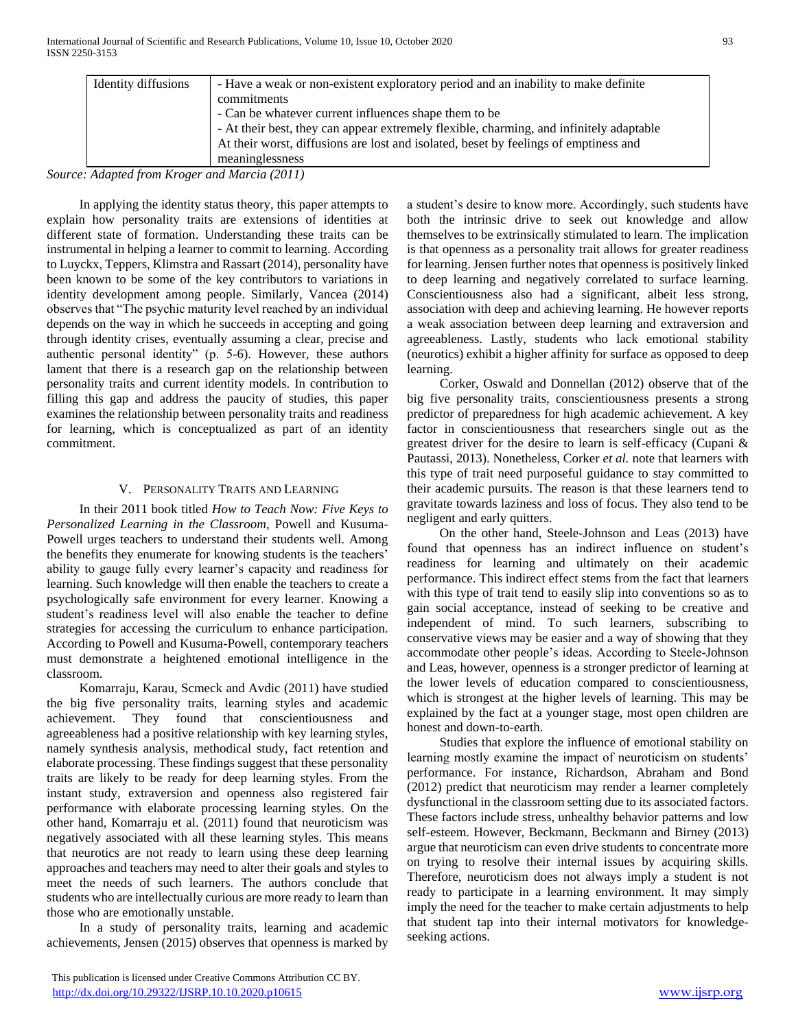| Identity diffusions | - Have a weak or non-existent exploratory period and an inability to make definite      |
|---------------------|-----------------------------------------------------------------------------------------|
|                     | commitments                                                                             |
|                     | - Can be whatever current influences shape them to be                                   |
|                     | - At their best, they can appear extremely flexible, charming, and infinitely adaptable |
|                     | At their worst, diffusions are lost and isolated, beset by feelings of emptiness and    |
|                     | meaninglessness                                                                         |

*Source: Adapted from Kroger and Marcia (2011)*

 In applying the identity status theory, this paper attempts to explain how personality traits are extensions of identities at different state of formation. Understanding these traits can be instrumental in helping a learner to commit to learning. According to Luyckx, Teppers, Klimstra and Rassart (2014), personality have been known to be some of the key contributors to variations in identity development among people. Similarly, Vancea (2014) observes that "The psychic maturity level reached by an individual depends on the way in which he succeeds in accepting and going through identity crises, eventually assuming a clear, precise and authentic personal identity" (p. 5-6). However, these authors lament that there is a research gap on the relationship between personality traits and current identity models. In contribution to filling this gap and address the paucity of studies, this paper examines the relationship between personality traits and readiness for learning, which is conceptualized as part of an identity commitment.

## V. PERSONALITY TRAITS AND LEARNING

 In their 2011 book titled *How to Teach Now: Five Keys to Personalized Learning in the Classroom,* Powell and Kusuma-Powell urges teachers to understand their students well. Among the benefits they enumerate for knowing students is the teachers' ability to gauge fully every learner's capacity and readiness for learning. Such knowledge will then enable the teachers to create a psychologically safe environment for every learner. Knowing a student's readiness level will also enable the teacher to define strategies for accessing the curriculum to enhance participation. According to Powell and Kusuma-Powell, contemporary teachers must demonstrate a heightened emotional intelligence in the classroom.

 Komarraju, Karau, Scmeck and Avdic (2011) have studied the big five personality traits, learning styles and academic achievement. They found that conscientiousness and agreeableness had a positive relationship with key learning styles, namely synthesis analysis, methodical study, fact retention and elaborate processing. These findings suggest that these personality traits are likely to be ready for deep learning styles. From the instant study, extraversion and openness also registered fair performance with elaborate processing learning styles. On the other hand, Komarraju et al. (2011) found that neuroticism was negatively associated with all these learning styles. This means that neurotics are not ready to learn using these deep learning approaches and teachers may need to alter their goals and styles to meet the needs of such learners. The authors conclude that students who are intellectually curious are more ready to learn than those who are emotionally unstable.

 In a study of personality traits, learning and academic achievements, Jensen (2015) observes that openness is marked by on trying to resolve their internal issues by acquiring skills. Therefore, neuroticism does not always imply a student is not ready to participate in a learning environment. It may simply imply the need for the teacher to make certain adjustments to help that student tap into their internal motivators for knowledgeseeking actions.

a student's desire to know more. Accordingly, such students have both the intrinsic drive to seek out knowledge and allow themselves to be extrinsically stimulated to learn. The implication is that openness as a personality trait allows for greater readiness for learning. Jensen further notes that openness is positively linked to deep learning and negatively correlated to surface learning. Conscientiousness also had a significant, albeit less strong, association with deep and achieving learning. He however reports a weak association between deep learning and extraversion and agreeableness. Lastly, students who lack emotional stability (neurotics) exhibit a higher affinity for surface as opposed to deep learning.

 Corker, Oswald and Donnellan (2012) observe that of the big five personality traits, conscientiousness presents a strong predictor of preparedness for high academic achievement. A key factor in conscientiousness that researchers single out as the greatest driver for the desire to learn is self-efficacy (Cupani & Pautassi, 2013). Nonetheless, Corker *et al.* note that learners with this type of trait need purposeful guidance to stay committed to their academic pursuits. The reason is that these learners tend to gravitate towards laziness and loss of focus. They also tend to be negligent and early quitters.

 On the other hand, Steele-Johnson and Leas (2013) have found that openness has an indirect influence on student's readiness for learning and ultimately on their academic performance. This indirect effect stems from the fact that learners with this type of trait tend to easily slip into conventions so as to gain social acceptance, instead of seeking to be creative and independent of mind. To such learners, subscribing to conservative views may be easier and a way of showing that they accommodate other people's ideas. According to Steele-Johnson and Leas, however, openness is a stronger predictor of learning at the lower levels of education compared to conscientiousness, which is strongest at the higher levels of learning. This may be explained by the fact at a younger stage, most open children are honest and down-to-earth.

 Studies that explore the influence of emotional stability on learning mostly examine the impact of neuroticism on students' performance. For instance, Richardson, Abraham and Bond (2012) predict that neuroticism may render a learner completely

dysfunctional in the classroom setting due to its associated factors. These factors include stress, unhealthy behavior patterns and low self-esteem. However, Beckmann, Beckmann and Birney (2013) argue that neuroticism can even drive students to concentrate more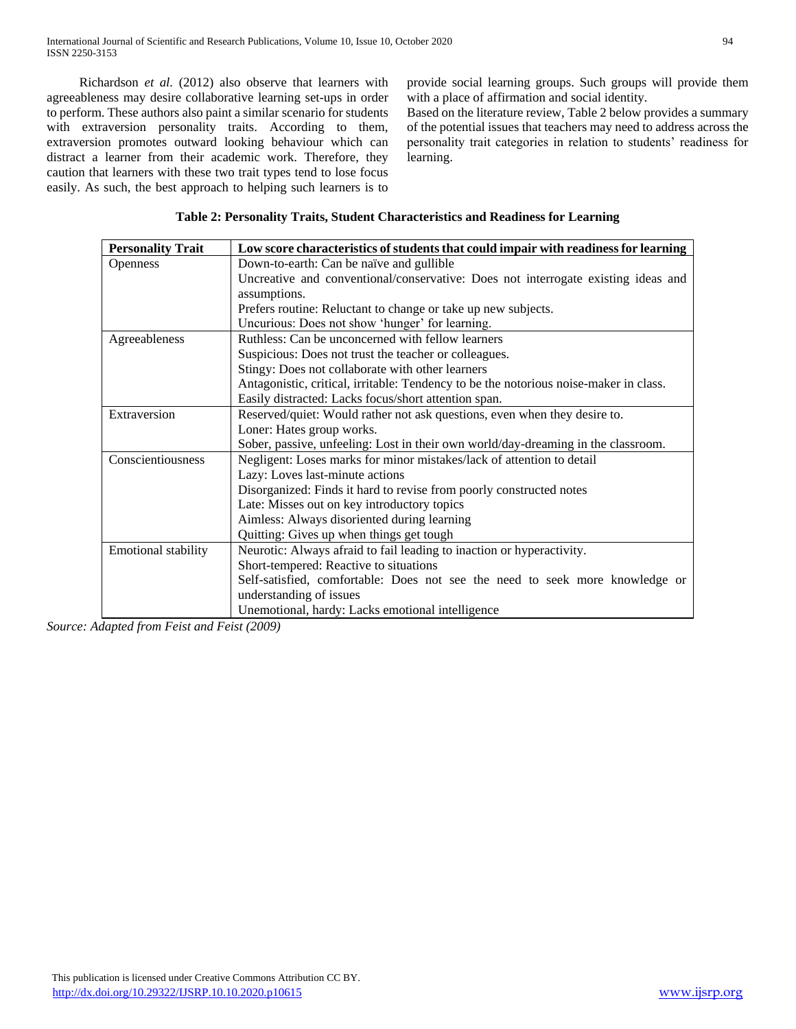Richardson *et al.* (2012) also observe that learners with agreeableness may desire collaborative learning set-ups in order to perform. These authors also paint a similar scenario for students with extraversion personality traits. According to them, extraversion promotes outward looking behaviour which can distract a learner from their academic work. Therefore, they caution that learners with these two trait types tend to lose focus easily. As such, the best approach to helping such learners is to provide social learning groups. Such groups will provide them with a place of affirmation and social identity.

Based on the literature review, Table 2 below provides a summary of the potential issues that teachers may need to address across the personality trait categories in relation to students' readiness for learning.

| <b>Personality Trait</b> | Low score characteristics of students that could impair with readiness for learning   |
|--------------------------|---------------------------------------------------------------------------------------|
| <b>Openness</b>          | Down-to-earth: Can be naïve and gullible                                              |
|                          | Uncreative and conventional/conservative: Does not interrogate existing ideas and     |
|                          | assumptions.                                                                          |
|                          | Prefers routine: Reluctant to change or take up new subjects.                         |
|                          | Uncurious: Does not show 'hunger' for learning.                                       |
| Agreeableness            | Ruthless: Can be unconcerned with fellow learners                                     |
|                          | Suspicious: Does not trust the teacher or colleagues.                                 |
|                          | Stingy: Does not collaborate with other learners                                      |
|                          | Antagonistic, critical, irritable: Tendency to be the notorious noise-maker in class. |
|                          | Easily distracted: Lacks focus/short attention span.                                  |
| Extraversion             | Reserved/quiet: Would rather not ask questions, even when they desire to.             |
|                          | Loner: Hates group works.                                                             |
|                          | Sober, passive, unfeeling: Lost in their own world/day-dreaming in the classroom.     |
| Conscientiousness        | Negligent: Loses marks for minor mistakes/lack of attention to detail                 |
|                          | Lazy: Loves last-minute actions                                                       |
|                          | Disorganized: Finds it hard to revise from poorly constructed notes                   |
|                          | Late: Misses out on key introductory topics                                           |
|                          | Aimless: Always disoriented during learning                                           |
|                          | Quitting: Gives up when things get tough                                              |
| Emotional stability      | Neurotic: Always afraid to fail leading to inaction or hyperactivity.                 |
|                          | Short-tempered: Reactive to situations                                                |
|                          | Self-satisfied, comfortable: Does not see the need to seek more knowledge or          |
|                          | understanding of issues                                                               |
|                          | Unemotional, hardy: Lacks emotional intelligence                                      |

*Source: Adapted from Feist and Feist (2009)*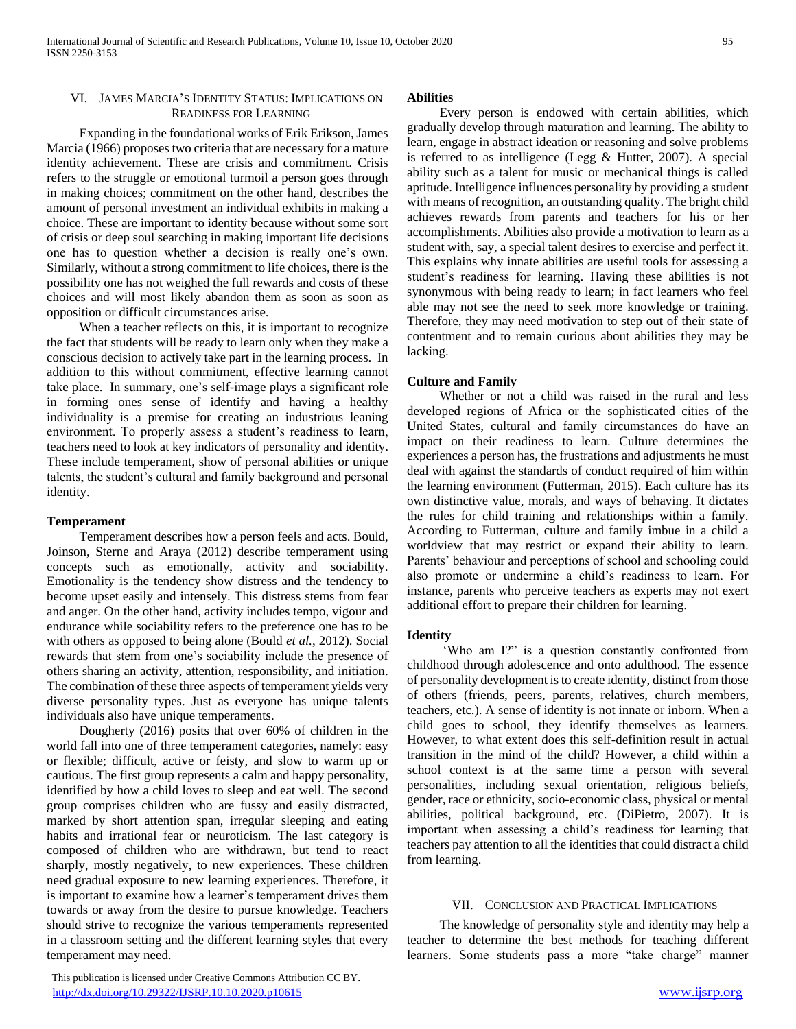## VI. JAMES MARCIA'S IDENTITY STATUS: IMPLICATIONS ON READINESS FOR LEARNING

 Expanding in the foundational works of Erik Erikson, James Marcia (1966) proposes two criteria that are necessary for a mature identity achievement. These are crisis and commitment. Crisis refers to the struggle or emotional turmoil a person goes through in making choices; commitment on the other hand, describes the amount of personal investment an individual exhibits in making a choice. These are important to identity because without some sort of crisis or deep soul searching in making important life decisions one has to question whether a decision is really one's own. Similarly, without a strong commitment to life choices, there is the possibility one has not weighed the full rewards and costs of these choices and will most likely abandon them as soon as soon as opposition or difficult circumstances arise.

 When a teacher reflects on this, it is important to recognize the fact that students will be ready to learn only when they make a conscious decision to actively take part in the learning process. In addition to this without commitment, effective learning cannot take place. In summary, one's self-image plays a significant role in forming ones sense of identify and having a healthy individuality is a premise for creating an industrious leaning environment. To properly assess a student's readiness to learn, teachers need to look at key indicators of personality and identity. These include temperament, show of personal abilities or unique talents, the student's cultural and family background and personal identity.

## **Temperament**

 Temperament describes how a person feels and acts. Bould, Joinson, Sterne and Araya (2012) describe temperament using concepts such as emotionally, activity and sociability. Emotionality is the tendency show distress and the tendency to become upset easily and intensely. This distress stems from fear and anger. On the other hand, activity includes tempo, vigour and endurance while sociability refers to the preference one has to be with others as opposed to being alone (Bould *et al.*, 2012). Social rewards that stem from one's sociability include the presence of others sharing an activity, attention, responsibility, and initiation. The combination of these three aspects of temperament yields very diverse personality types. Just as everyone has unique talents individuals also have unique temperaments.

 Dougherty (2016) posits that over 60% of children in the world fall into one of three temperament categories, namely: easy or flexible; difficult, active or feisty, and slow to warm up or cautious. The first group represents a calm and happy personality, identified by how a child loves to sleep and eat well. The second group comprises children who are fussy and easily distracted, marked by short attention span, irregular sleeping and eating habits and irrational fear or neuroticism. The last category is composed of children who are withdrawn, but tend to react sharply, mostly negatively, to new experiences. These children need gradual exposure to new learning experiences. Therefore, it is important to examine how a learner's temperament drives them towards or away from the desire to pursue knowledge. Teachers should strive to recognize the various temperaments represented in a classroom setting and the different learning styles that every temperament may need.

#### **Abilities**

 Every person is endowed with certain abilities, which gradually develop through maturation and learning. The ability to learn, engage in abstract ideation or reasoning and solve problems is referred to as intelligence (Legg & Hutter, 2007). A special ability such as a talent for music or mechanical things is called aptitude. Intelligence influences personality by providing a student with means of recognition, an outstanding quality. The bright child achieves rewards from parents and teachers for his or her accomplishments. Abilities also provide a motivation to learn as a student with, say, a special talent desires to exercise and perfect it. This explains why innate abilities are useful tools for assessing a student's readiness for learning. Having these abilities is not synonymous with being ready to learn; in fact learners who feel able may not see the need to seek more knowledge or training. Therefore, they may need motivation to step out of their state of contentment and to remain curious about abilities they may be lacking.

## **Culture and Family**

 Whether or not a child was raised in the rural and less developed regions of Africa or the sophisticated cities of the United States, cultural and family circumstances do have an impact on their readiness to learn. Culture determines the experiences a person has, the frustrations and adjustments he must deal with against the standards of conduct required of him within the learning environment (Futterman, 2015). Each culture has its own distinctive value, morals, and ways of behaving. It dictates the rules for child training and relationships within a family. According to Futterman, culture and family imbue in a child a worldview that may restrict or expand their ability to learn. Parents' behaviour and perceptions of school and schooling could also promote or undermine a child's readiness to learn. For instance, parents who perceive teachers as experts may not exert additional effort to prepare their children for learning.

## **Identity**

 'Who am I?" is a question constantly confronted from childhood through adolescence and onto adulthood. The essence of personality development is to create identity, distinct from those of others (friends, peers, parents, relatives, church members, teachers, etc.). A sense of identity is not innate or inborn. When a child goes to school, they identify themselves as learners. However, to what extent does this self-definition result in actual transition in the mind of the child? However, a child within a school context is at the same time a person with several personalities, including sexual orientation, religious beliefs, gender, race or ethnicity, socio-economic class, physical or mental abilities, political background, etc. (DiPietro, 2007). It is important when assessing a child's readiness for learning that teachers pay attention to all the identities that could distract a child from learning.

#### VII. CONCLUSION AND PRACTICAL IMPLICATIONS

 The knowledge of personality style and identity may help a teacher to determine the best methods for teaching different learners. Some students pass a more "take charge" manner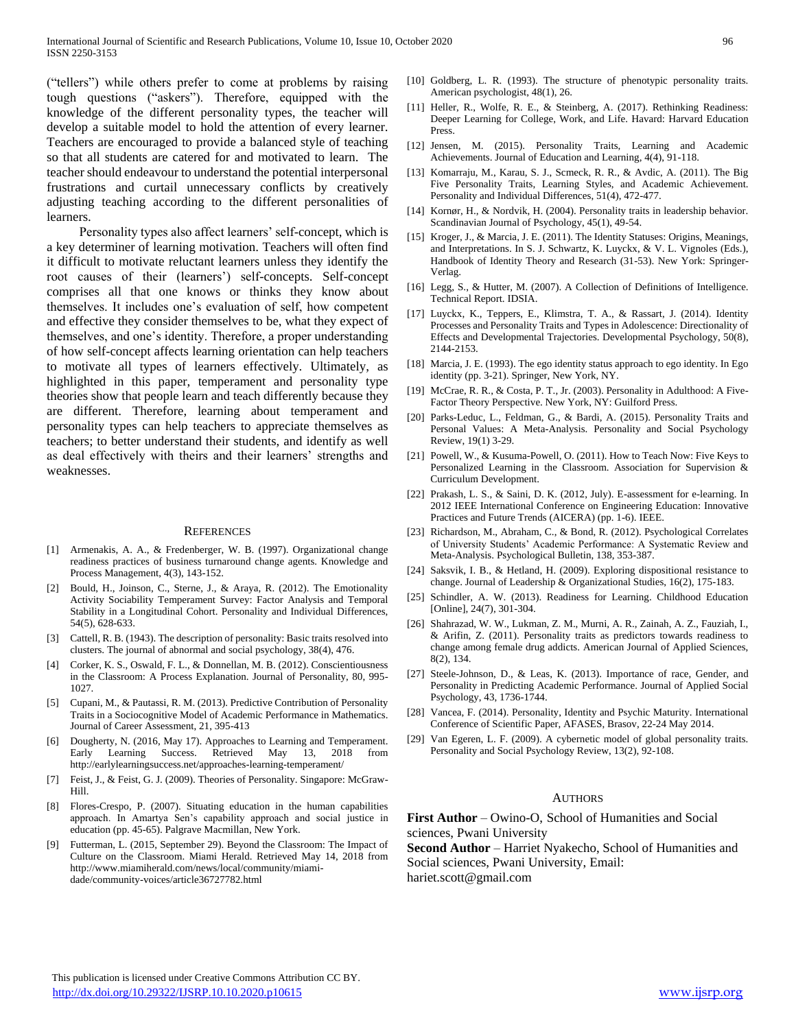("tellers") while others prefer to come at problems by raising tough questions ("askers"). Therefore, equipped with the knowledge of the different personality types, the teacher will develop a suitable model to hold the attention of every learner. Teachers are encouraged to provide a balanced style of teaching so that all students are catered for and motivated to learn. The teacher should endeavour to understand the potential interpersonal frustrations and curtail unnecessary conflicts by creatively adjusting teaching according to the different personalities of learners.

 Personality types also affect learners' self-concept, which is a key determiner of learning motivation. Teachers will often find it difficult to motivate reluctant learners unless they identify the root causes of their (learners') self-concepts. Self-concept comprises all that one knows or thinks they know about themselves. It includes one's evaluation of self, how competent and effective they consider themselves to be, what they expect of themselves, and one's identity. Therefore, a proper understanding of how self-concept affects learning orientation can help teachers to motivate all types of learners effectively. Ultimately, as highlighted in this paper, temperament and personality type theories show that people learn and teach differently because they are different. Therefore, learning about temperament and personality types can help teachers to appreciate themselves as teachers; to better understand their students, and identify as well as deal effectively with theirs and their learners' strengths and weaknesses.

#### **REFERENCES**

- [1] Armenakis, A. A., & Fredenberger, W. B. (1997). Organizational change readiness practices of business turnaround change agents. Knowledge and Process Management, 4(3), 143-152.
- [2] Bould, H., Joinson, C., Sterne, J., & Araya, R. (2012). The Emotionality Activity Sociability Temperament Survey: Factor Analysis and Temporal Stability in a Longitudinal Cohort. Personality and Individual Differences, 54(5), 628-633.
- [3] Cattell, R. B. (1943). The description of personality: Basic traits resolved into clusters. The journal of abnormal and social psychology, 38(4), 476.
- [4] Corker, K. S., Oswald, F. L., & Donnellan, M. B. (2012). Conscientiousness in the Classroom: A Process Explanation. Journal of Personality, 80, 995- 1027.
- [5] Cupani, M., & Pautassi, R. M. (2013). Predictive Contribution of Personality Traits in a Sociocognitive Model of Academic Performance in Mathematics. Journal of Career Assessment, 21, 395-413
- [6] Dougherty, N. (2016, May 17). Approaches to Learning and Temperament. Early Learning Success. Retrieved May 13, 2018 from http://earlylearningsuccess.net/approaches-learning-temperament/
- [7] Feist, J., & Feist, G. J. (2009). Theories of Personality. Singapore: McGraw-Hill.
- [8] Flores-Crespo, P. (2007). Situating education in the human capabilities approach. In Amartya Sen's capability approach and social justice in education (pp. 45-65). Palgrave Macmillan, New York.
- [9] Futterman, L. (2015, September 29). Beyond the Classroom: The Impact of Culture on the Classroom. Miami Herald. Retrieved May 14, 2018 from http://www.miamiherald.com/news/local/community/miamidade/community-voices/article36727782.html
- [10] Goldberg, L. R. (1993). The structure of phenotypic personality traits. American psychologist, 48(1), 26.
- [11] Heller, R., Wolfe, R. E., & Steinberg, A. (2017). Rethinking Readiness: Deeper Learning for College, Work, and Life. Havard: Harvard Education Press.
- [12] Jensen, M. (2015). Personality Traits, Learning and Academic Achievements. Journal of Education and Learning, 4(4), 91-118.
- [13] Komarraju, M., Karau, S. J., Scmeck, R. R., & Avdic, A. (2011). The Big Five Personality Traits, Learning Styles, and Academic Achievement. Personality and Individual Differences, 51(4), 472-477.
- [14] Kornør, H., & Nordvik, H. (2004). Personality traits in leadership behavior. Scandinavian Journal of Psychology, 45(1), 49-54.
- [15] Kroger, J., & Marcia, J. E. (2011). The Identity Statuses: Origins, Meanings, and Interpretations. In S. J. Schwartz, K. Luyckx, & V. L. Vignoles (Eds.), Handbook of Identity Theory and Research (31-53). New York: Springer-Verlag.
- [16] Legg, S., & Hutter, M. (2007). A Collection of Definitions of Intelligence. Technical Report. IDSIA.
- [17] Luyckx, K., Teppers, E., Klimstra, T. A., & Rassart, J. (2014). Identity Processes and Personality Traits and Types in Adolescence: Directionality of Effects and Developmental Trajectories. Developmental Psychology, 50(8), 2144-2153.
- [18] Marcia, J. E. (1993). The ego identity status approach to ego identity. In Ego identity (pp. 3-21). Springer, New York, NY.
- [19] McCrae, R. R., & Costa, P. T., Jr. (2003). Personality in Adulthood: A Five-Factor Theory Perspective. New York, NY: Guilford Press.
- [20] Parks-Leduc, L., Feldman, G., & Bardi, A. (2015). Personality Traits and Personal Values: A Meta-Analysis. Personality and Social Psychology Review, 19(1) 3-29.
- [21] Powell, W., & Kusuma-Powell, O. (2011). How to Teach Now: Five Keys to Personalized Learning in the Classroom. Association for Supervision & Curriculum Development.
- [22] Prakash, L. S., & Saini, D. K. (2012, July). E-assessment for e-learning. In 2012 IEEE International Conference on Engineering Education: Innovative Practices and Future Trends (AICERA) (pp. 1-6). IEEE.
- [23] Richardson, M., Abraham, C., & Bond, R. (2012). Psychological Correlates of University Students' Academic Performance: A Systematic Review and Meta-Analysis. Psychological Bulletin, 138, 353-387.
- [24] Saksvik, I. B., & Hetland, H. (2009). Exploring dispositional resistance to change. Journal of Leadership & Organizational Studies, 16(2), 175-183.
- [25] Schindler, A. W. (2013). Readiness for Learning. Childhood Education [Online], 24(7), 301-304.
- [26] Shahrazad, W. W., Lukman, Z. M., Murni, A. R., Zainah, A. Z., Fauziah, I., & Arifin, Z. (2011). Personality traits as predictors towards readiness to change among female drug addicts. American Journal of Applied Sciences, 8(2), 134.
- [27] Steele-Johnson, D., & Leas, K. (2013). Importance of race, Gender, and Personality in Predicting Academic Performance. Journal of Applied Social Psychology, 43, 1736-1744.
- [28] Vancea, F. (2014). Personality, Identity and Psychic Maturity. International Conference of Scientific Paper, AFASES, Brasov, 22-24 May 2014.
- [29] Van Egeren, L. F. (2009). A cybernetic model of global personality traits. Personality and Social Psychology Review, 13(2), 92-108.

#### AUTHORS

**First Author** – Owino-O, School of Humanities and Social sciences, Pwani University

**Second Author** – Harriet Nyakecho, School of Humanities and Social sciences, Pwani University, Email:

hariet.scott@gmail.com